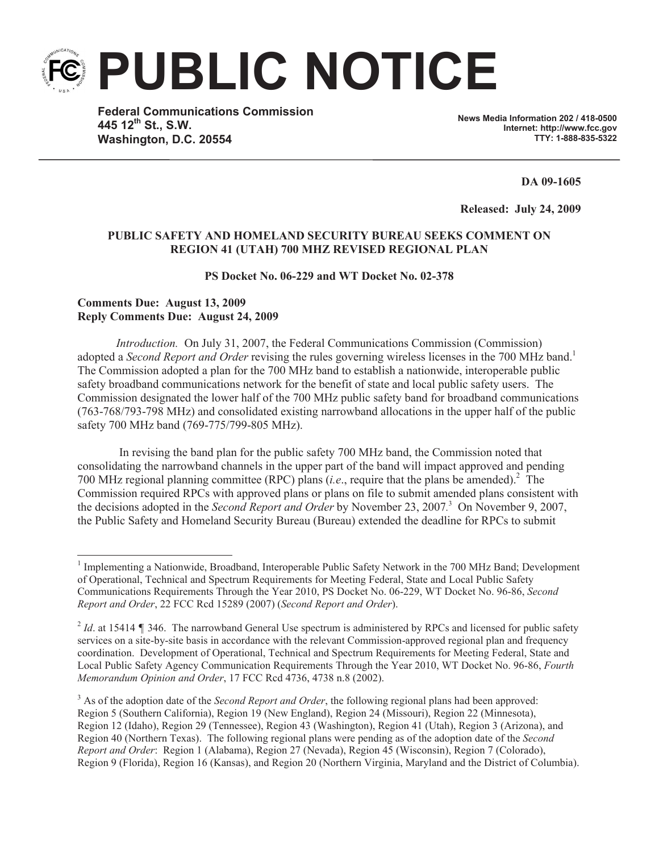**PUBLIC NOTICE**

**Federal Communications Commission 445 12th St., S.W. Washington, D.C. 20554**

**News Media Information 202 / 418-0500 Internet: http://www.fcc.gov TTY: 1-888-835-5322**

**DA 09-1605**

**Released: July 24, 2009** 

## **PUBLIC SAFETY AND HOMELAND SECURITY BUREAU SEEKS COMMENT ON REGION 41 (UTAH) 700 MHZ REVISED REGIONAL PLAN**

## **PS Docket No. 06-229 and WT Docket No. 02-378**

## **Comments Due: August 13, 2009 Reply Comments Due: August 24, 2009**

*Introduction.* On July 31, 2007, the Federal Communications Commission (Commission) adopted a *Second Report and Order* revising the rules governing wireless licenses in the 700 MHz band.<sup>1</sup> The Commission adopted a plan for the 700 MHz band to establish a nationwide, interoperable public safety broadband communications network for the benefit of state and local public safety users. The Commission designated the lower half of the 700 MHz public safety band for broadband communications (763-768/793-798 MHz) and consolidated existing narrowband allocations in the upper half of the public safety 700 MHz band (769-775/799-805 MHz).

In revising the band plan for the public safety 700 MHz band, the Commission noted that consolidating the narrowband channels in the upper part of the band will impact approved and pending 700 MHz regional planning committee (RPC) plans (*i.e*., require that the plans be amended).<sup>2</sup> The Commission required RPCs with approved plans or plans on file to submit amended plans consistent with the decisions adopted in the *Second Report and Order* by November 23, 2007*.* <sup>3</sup> On November 9, 2007, the Public Safety and Homeland Security Bureau (Bureau) extended the deadline for RPCs to submit

<sup>&</sup>lt;sup>1</sup> Implementing a Nationwide, Broadband, Interoperable Public Safety Network in the 700 MHz Band; Development of Operational, Technical and Spectrum Requirements for Meeting Federal, State and Local Public Safety Communications Requirements Through the Year 2010, PS Docket No. 06-229, WT Docket No. 96-86, *Second Report and Order*, 22 FCC Rcd 15289 (2007) (*Second Report and Order*).

 $^{2}$  *Id*. at 15414  $\parallel$  346. The narrowband General Use spectrum is administered by RPCs and licensed for public safety services on a site-by-site basis in accordance with the relevant Commission-approved regional plan and frequency coordination. Development of Operational, Technical and Spectrum Requirements for Meeting Federal, State and Local Public Safety Agency Communication Requirements Through the Year 2010, WT Docket No. 96-86, *Fourth Memorandum Opinion and Order*, 17 FCC Rcd 4736, 4738 n.8 (2002).

<sup>&</sup>lt;sup>3</sup> As of the adoption date of the *Second Report and Order*, the following regional plans had been approved: Region 5 (Southern California), Region 19 (New England), Region 24 (Missouri), Region 22 (Minnesota), Region 12 (Idaho), Region 29 (Tennessee), Region 43 (Washington), Region 41 (Utah), Region 3 (Arizona), and Region 40 (Northern Texas). The following regional plans were pending as of the adoption date of the *Second Report and Order*: Region 1 (Alabama), Region 27 (Nevada), Region 45 (Wisconsin), Region 7 (Colorado), Region 9 (Florida), Region 16 (Kansas), and Region 20 (Northern Virginia, Maryland and the District of Columbia).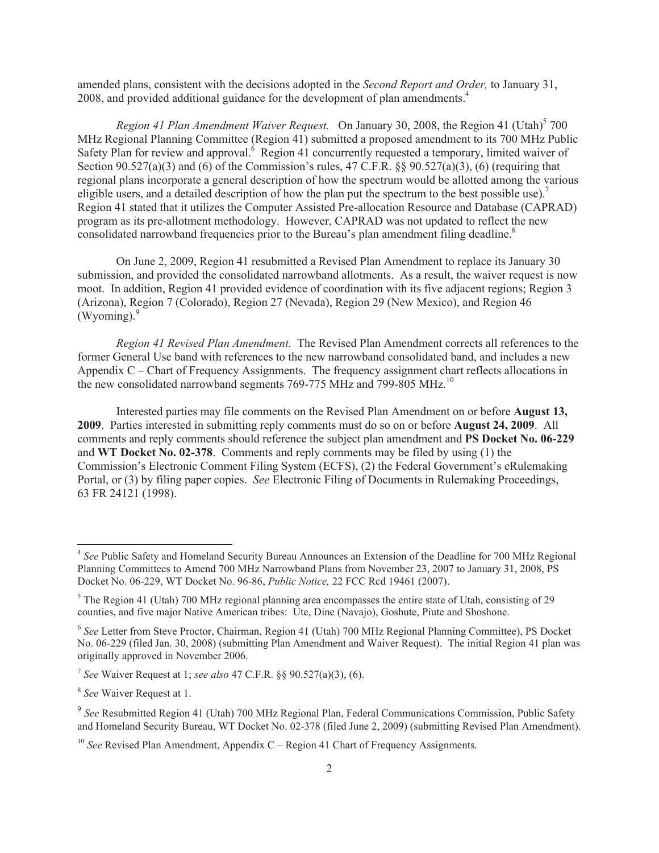amended plans, consistent with the decisions adopted in the *Second Report and Order,* to January 31, 2008, and provided additional guidance for the development of plan amendments.<sup>4</sup>

Region 41 Plan Amendment Waiver Request. On January 30, 2008, the Region 41 (Utah)<sup>5</sup> 700 MHz Regional Planning Committee (Region 41) submitted a proposed amendment to its 700 MHz Public Safety Plan for review and approval.<sup>6</sup> Region 41 concurrently requested a temporary, limited waiver of Section 90.527(a)(3) and (6) of the Commission's rules, 47 C.F.R. §§ 90.527(a)(3), (6) (requiring that regional plans incorporate a general description of how the spectrum would be allotted among the various eligible users, and a detailed description of how the plan put the spectrum to the best possible use).<sup>7</sup> Region 41 stated that it utilizes the Computer Assisted Pre-allocation Resource and Database (CAPRAD) program as its pre-allotment methodology. However, CAPRAD was not updated to reflect the new consolidated narrowband frequencies prior to the Bureau's plan amendment filing deadline.<sup>8</sup>

On June 2, 2009, Region 41 resubmitted a Revised Plan Amendment to replace its January 30 submission, and provided the consolidated narrowband allotments. As a result, the waiver request is now moot. In addition, Region 41 provided evidence of coordination with its five adjacent regions; Region 3 (Arizona), Region 7 (Colorado), Region 27 (Nevada), Region 29 (New Mexico), and Region 46  $(Wvomine)<sup>9</sup>$ 

*Region 41 Revised Plan Amendment.* The Revised Plan Amendment corrects all references to the former General Use band with references to the new narrowband consolidated band, and includes a new Appendix C – Chart of Frequency Assignments. The frequency assignment chart reflects allocations in the new consolidated narrowband segments 769-775 MHz and 799-805 MHz.<sup>10</sup>

Interested parties may file comments on the Revised Plan Amendment on or before **August 13, 2009**. Parties interested in submitting reply comments must do so on or before **August 24, 2009**. All comments and reply comments should reference the subject plan amendment and **PS Docket No. 06-229**  and **WT Docket No. 02-378**. Comments and reply comments may be filed by using (1) the Commission's Electronic Comment Filing System (ECFS), (2) the Federal Government's eRulemaking Portal, or (3) by filing paper copies. *See* Electronic Filing of Documents in Rulemaking Proceedings, 63 FR 24121 (1998).

<sup>&</sup>lt;sup>4</sup> See Public Safety and Homeland Security Bureau Announces an Extension of the Deadline for 700 MHz Regional Planning Committees to Amend 700 MHz Narrowband Plans from November 23, 2007 to January 31, 2008, PS Docket No. 06-229, WT Docket No. 96-86, *Public Notice,* 22 FCC Rcd 19461 (2007).

<sup>&</sup>lt;sup>5</sup> The Region 41 (Utah) 700 MHz regional planning area encompasses the entire state of Utah, consisting of 29 counties, and five major Native American tribes: Ute, Dine (Navajo), Goshute, Piute and Shoshone.

<sup>6</sup> *See* Letter from Steve Proctor, Chairman, Region 41 (Utah) 700 MHz Regional Planning Committee), PS Docket No. 06-229 (filed Jan. 30, 2008) (submitting Plan Amendment and Waiver Request). The initial Region 41 plan was originally approved in November 2006.

<sup>7</sup> *See* Waiver Request at 1; *see also* 47 C.F.R. §§ 90.527(a)(3), (6).

<sup>8</sup> *See* Waiver Request at 1.

<sup>9</sup> *See* Resubmitted Region 41 (Utah) 700 MHz Regional Plan, Federal Communications Commission, Public Safety and Homeland Security Bureau, WT Docket No. 02-378 (filed June 2, 2009) (submitting Revised Plan Amendment).

<sup>&</sup>lt;sup>10</sup> *See* Revised Plan Amendment, Appendix C – Region 41 Chart of Frequency Assignments.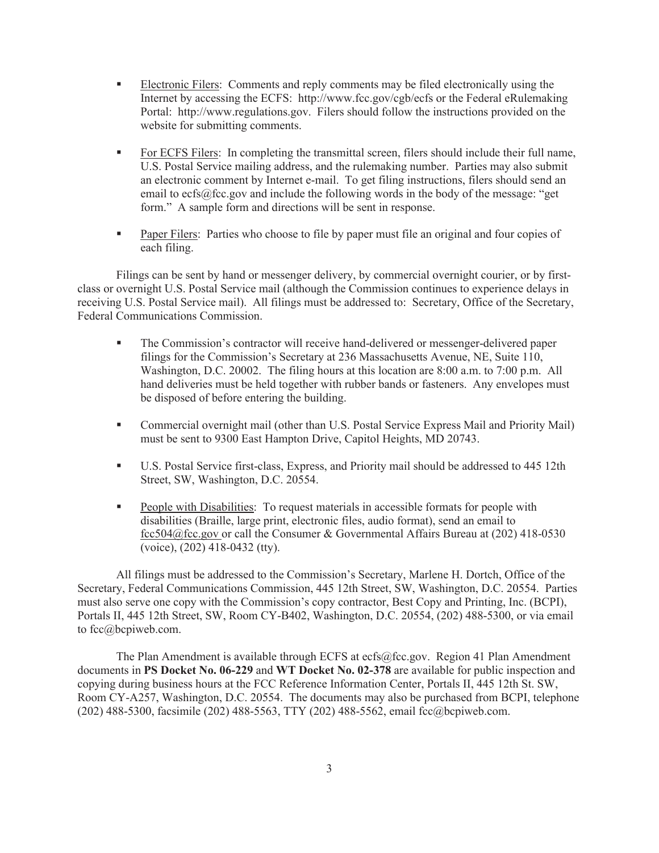- § Electronic Filers: Comments and reply comments may be filed electronically using the Internet by accessing the ECFS: http://www.fcc.gov/cgb/ecfs or the Federal eRulemaking Portal: http://www.regulations.gov. Filers should follow the instructions provided on the website for submitting comments.
- For ECFS Filers: In completing the transmittal screen, filers should include their full name, U.S. Postal Service mailing address, and the rulemaking number. Parties may also submit an electronic comment by Internet e-mail. To get filing instructions, filers should send an email to ecfs@fcc.gov and include the following words in the body of the message: "get form." A sample form and directions will be sent in response.
- § Paper Filers: Parties who choose to file by paper must file an original and four copies of each filing.

Filings can be sent by hand or messenger delivery, by commercial overnight courier, or by firstclass or overnight U.S. Postal Service mail (although the Commission continues to experience delays in receiving U.S. Postal Service mail). All filings must be addressed to: Secretary, Office of the Secretary, Federal Communications Commission.

- § The Commission's contractor will receive hand-delivered or messenger-delivered paper filings for the Commission's Secretary at 236 Massachusetts Avenue, NE, Suite 110, Washington, D.C. 20002. The filing hours at this location are 8:00 a.m. to 7:00 p.m. All hand deliveries must be held together with rubber bands or fasteners. Any envelopes must be disposed of before entering the building.
- Commercial overnight mail (other than U.S. Postal Service Express Mail and Priority Mail) must be sent to 9300 East Hampton Drive, Capitol Heights, MD 20743.
- U.S. Postal Service first-class, Express, and Priority mail should be addressed to 445 12th Street, SW, Washington, D.C. 20554.
- People with Disabilities: To request materials in accessible formats for people with disabilities (Braille, large print, electronic files, audio format), send an email to fcc504@fcc.gov or call the Consumer & Governmental Affairs Bureau at (202) 418-0530 (voice), (202) 418-0432 (tty).

All filings must be addressed to the Commission's Secretary, Marlene H. Dortch, Office of the Secretary, Federal Communications Commission, 445 12th Street, SW, Washington, D.C. 20554. Parties must also serve one copy with the Commission's copy contractor, Best Copy and Printing, Inc. (BCPI), Portals II, 445 12th Street, SW, Room CY-B402, Washington, D.C. 20554, (202) 488-5300, or via email to fcc@bcpiweb.com.

The Plan Amendment is available through ECFS at ecfs@fcc.gov. Region 41 Plan Amendment documents in **PS Docket No. 06-229** and **WT Docket No. 02-378** are available for public inspection and copying during business hours at the FCC Reference Information Center, Portals II, 445 12th St. SW, Room CY-A257, Washington, D.C. 20554. The documents may also be purchased from BCPI, telephone (202) 488-5300, facsimile (202) 488-5563, TTY (202) 488-5562, email fcc@bcpiweb.com.